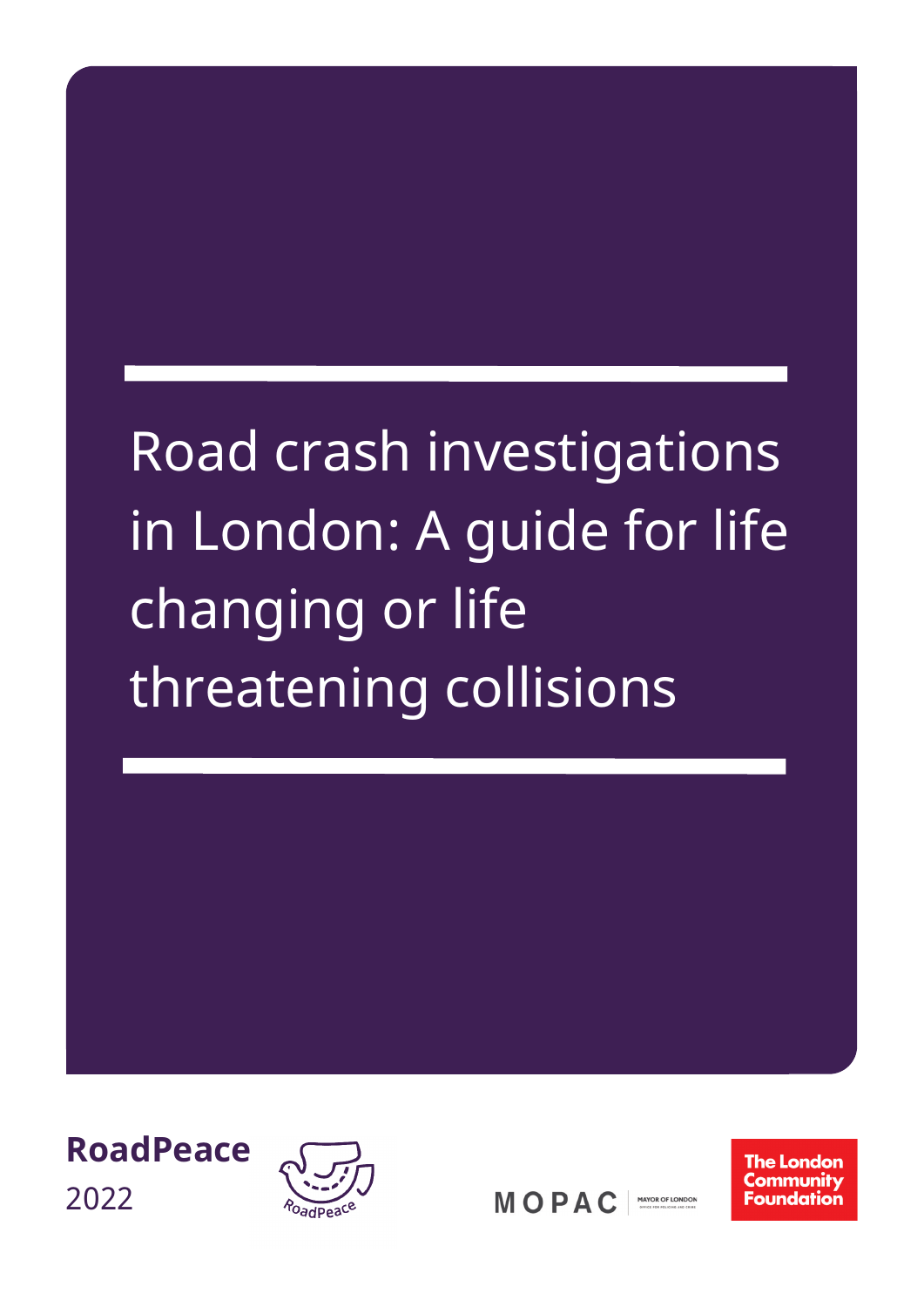# Road crash investigations in London: A guide for life changing or life threatening collisions





**MOPAC** MAYOR OF LONDON **The London** Community Foundation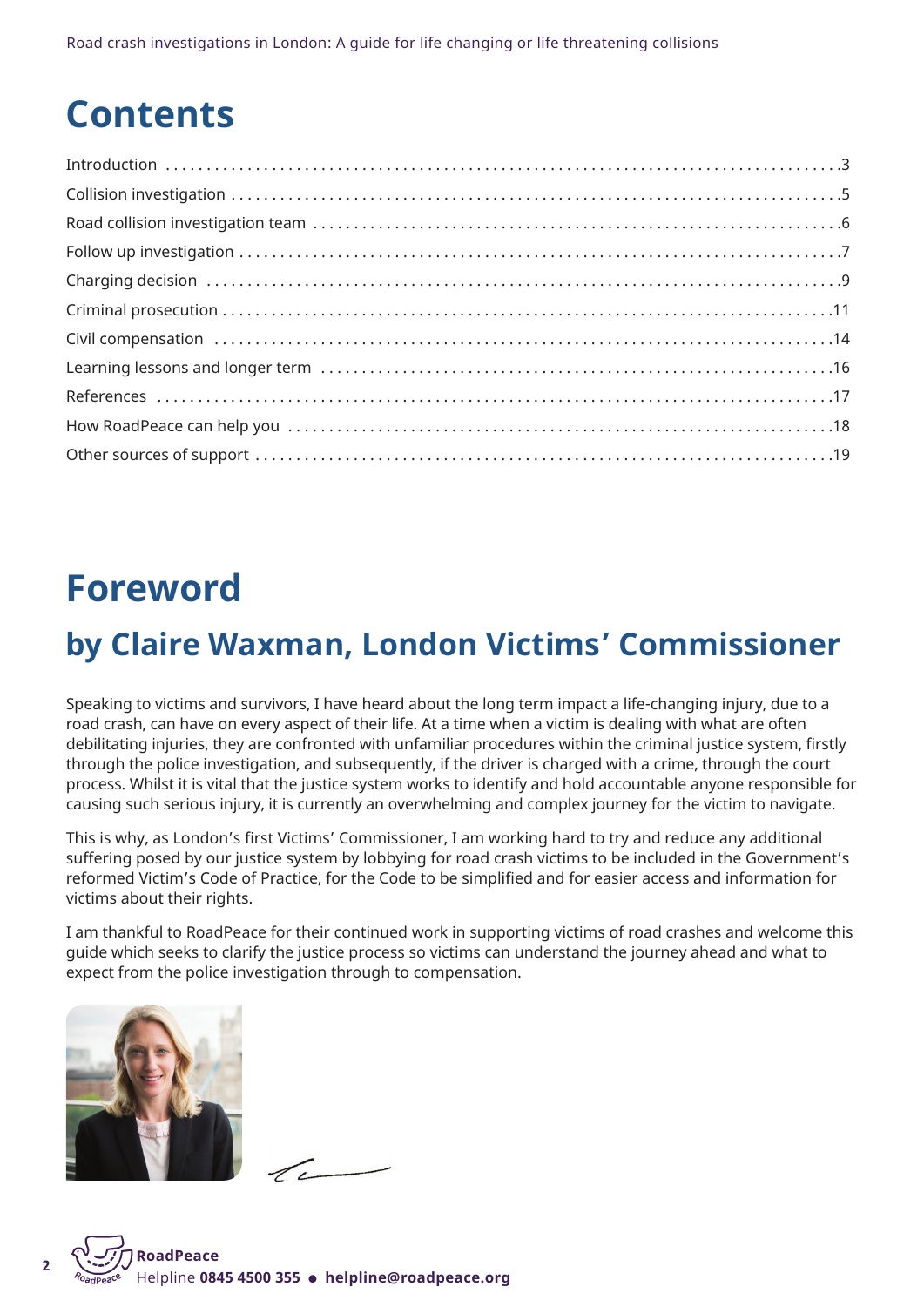Road crash investigations in London: A guide for life changing or life threatening collisions

## **Contents**

## **Foreword**

## **by Claire Waxman, London Victims' Commissioner**

Speaking to victims and survivors, I have heard about the long term impact a life-changing injury, due to a road crash, can have on every aspect of their life. At a time when a victim is dealing with what are often debilitating injuries, they are confronted with unfamiliar procedures within the criminal justice system, firstly through the police investigation, and subsequently, if the driver is charged with a crime, through the court process. Whilst it is vital that the justice system works to identify and hold accountable anyone responsible for causing such serious injury, it is currently an overwhelming and complex journey for the victim to navigate.

This is why, as London's first Victims' Commissioner, I am working hard to try and reduce any additional suffering posed by our justice system by lobbying for road crash victims to be included in the Government's reformed Victim's Code of Practice, for the Code to be simplified and for easier access and information for victims about their rights.

I am thankful to RoadPeace for their continued work in supporting victims of road crashes and welcome this guide which seeks to clarify the justice process so victims can understand the journey ahead and what to expect from the police investigation through to compensation.



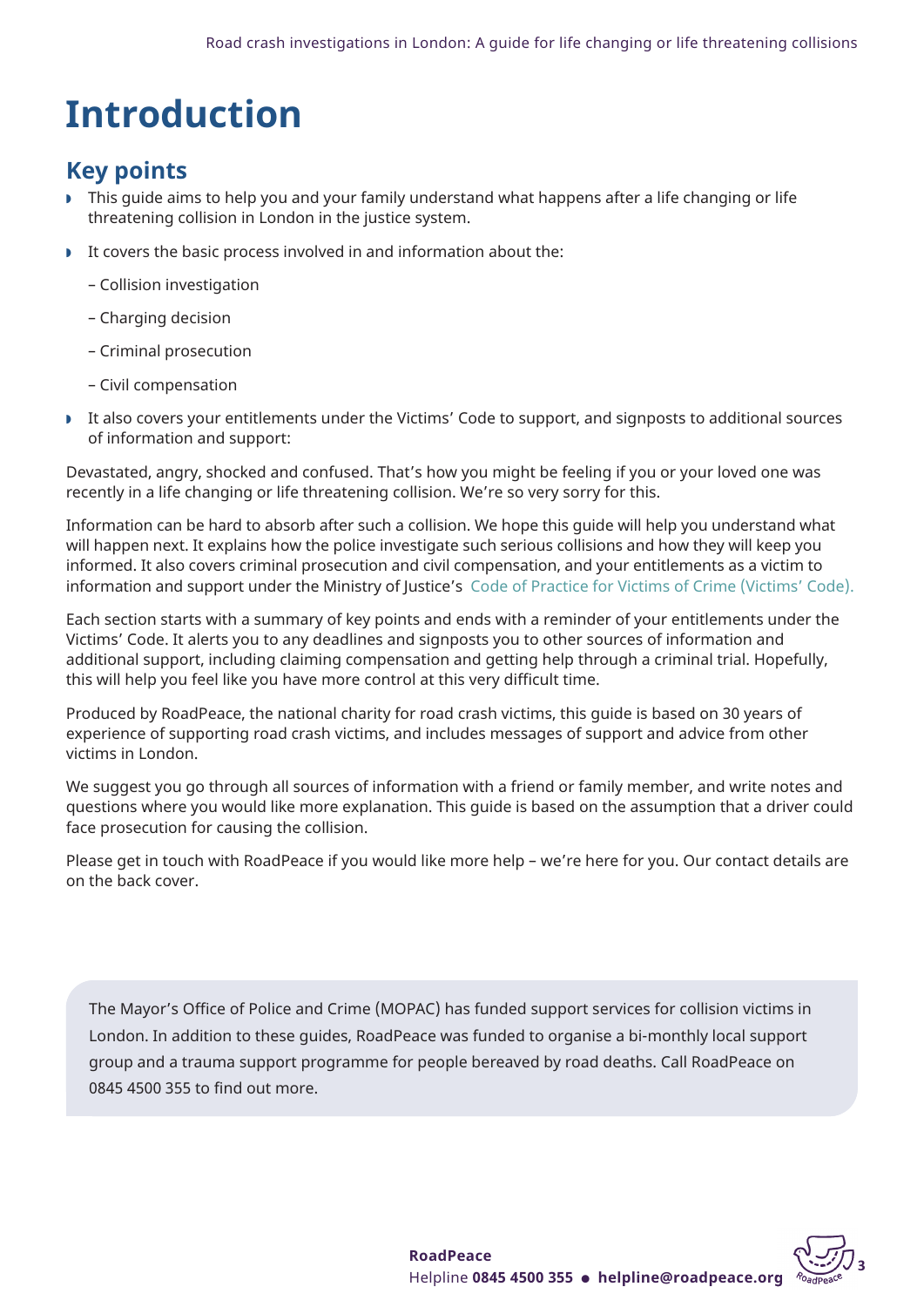## <span id="page-2-0"></span>**Introduction**

## **Key points**

- w This guide aims to help you and your family understand what happens after a life changing or life threatening collision in London in the justice system.
- $\blacktriangleright$  It covers the basic process involved in and information about the:
	- Collision investigation
	- Charging decision
	- Criminal prosecution
	- Civil compensation
- It also covers your entitlements under the Victims' Code to support, and signposts to additional sources of information and support:

Devastated, angry, shocked and confused. That's how you might be feeling if you or your loved one was recently in a life changing or life threatening collision. We're so very sorry for this.

Information can be hard to absorb after such a collision. We hope this guide will help you understand what will happen next. It explains how the police investigate such serious collisions and how they will keep you informed. It also covers criminal prosecution and civil compensation, and your entitlements as a victim to information and support under the Ministry of Justice's Code of Practice for Victims of Crime [\(Victims'](https://assets.publishing.service.gov.uk/government/uploads/system/uploads/attachment_data/file/476900/code-of-practice-for-victims-of-crime.PDF) Code).

Each section starts with a summary of key points and ends with a reminder of your entitlements under the Victims' Code. It alerts you to any deadlines and signposts you to other sources of information and additional support, including claiming compensation and getting help through a criminal trial. Hopefully, this will help you feel like you have more control at this very difficult time.

Produced by RoadPeace, the national charity for road crash victims, this guide is based on 30 years of experience of supporting road crash victims, and includes messages of support and advice from other victims in London.

We suggest you go through all sources of information with a friend or family member, and write notes and questions where you would like more explanation. This guide is based on the assumption that a driver could face prosecution for causing the collision.

Please get in touch with RoadPeace if you would like more help – we're here for you. Our contact details are on the back cover.

The Mayor's Office of Police and Crime (MOPAC) has funded support services for collision victims in London. In addition to these guides, RoadPeace was funded to organise a bi-monthly local support group and a trauma support programme for people bereaved by road deaths. Call RoadPeace on 0845 4500 355 to find out more.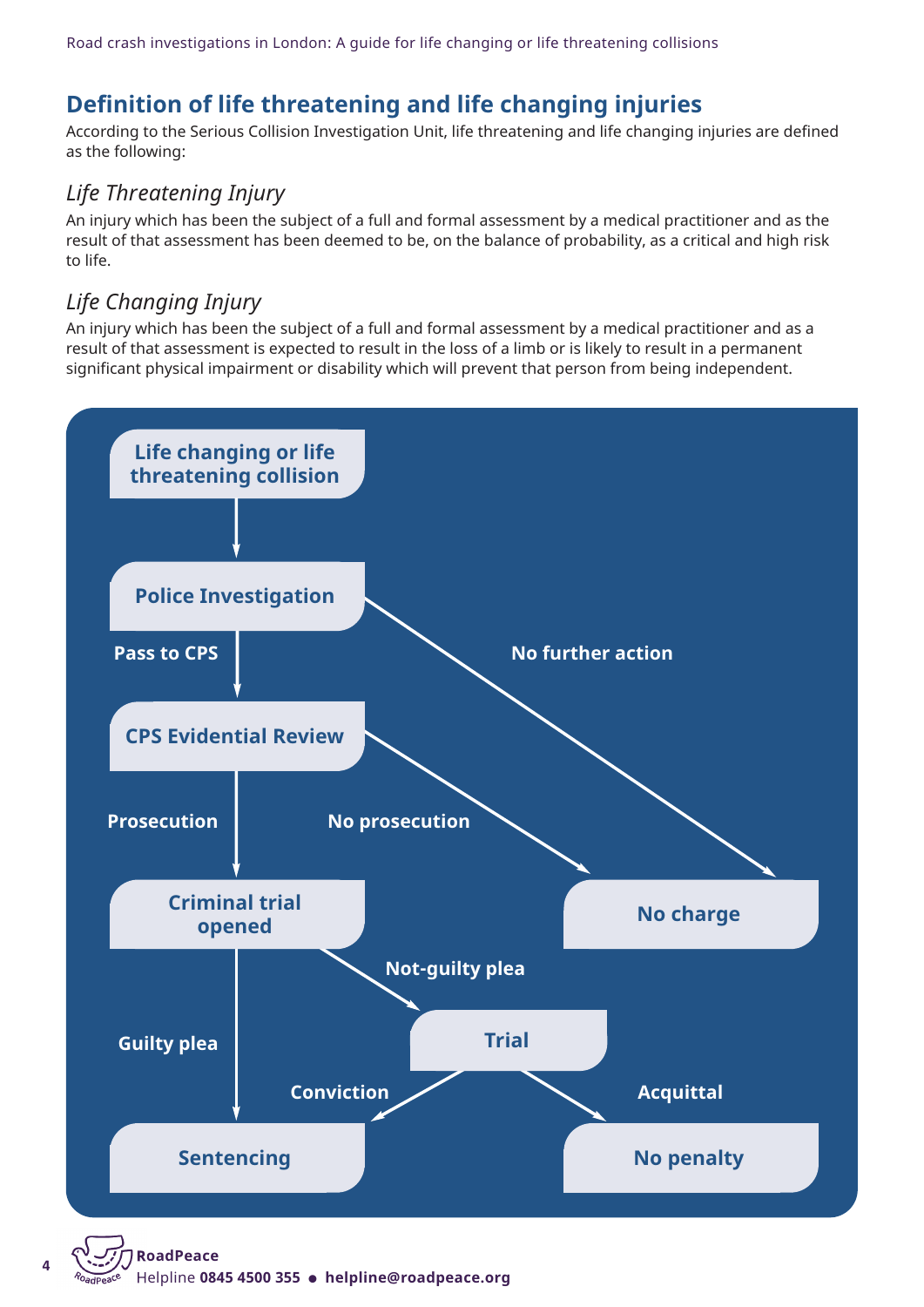## **Definition of life threatening and life changing injuries**

According to the Serious Collision Investigation Unit, life threatening and life changing injuries are defined as the following:

## *Life Threatening Injury*

An injury which has been the subject of a full and formal assessment by a medical practitioner and as the result of that assessment has been deemed to be, on the balance of probability, as a critical and high risk to life.

## *Life Changing Injury*

An injury which has been the subject of a full and formal assessment by a medical practitioner and as a result of that assessment is expected to result in the loss of a limb or is likely to result in a permanent significant physical impairment or disability which will prevent that person from being independent.



Helpline 0845 4500 355 · helpline@roadpeace.org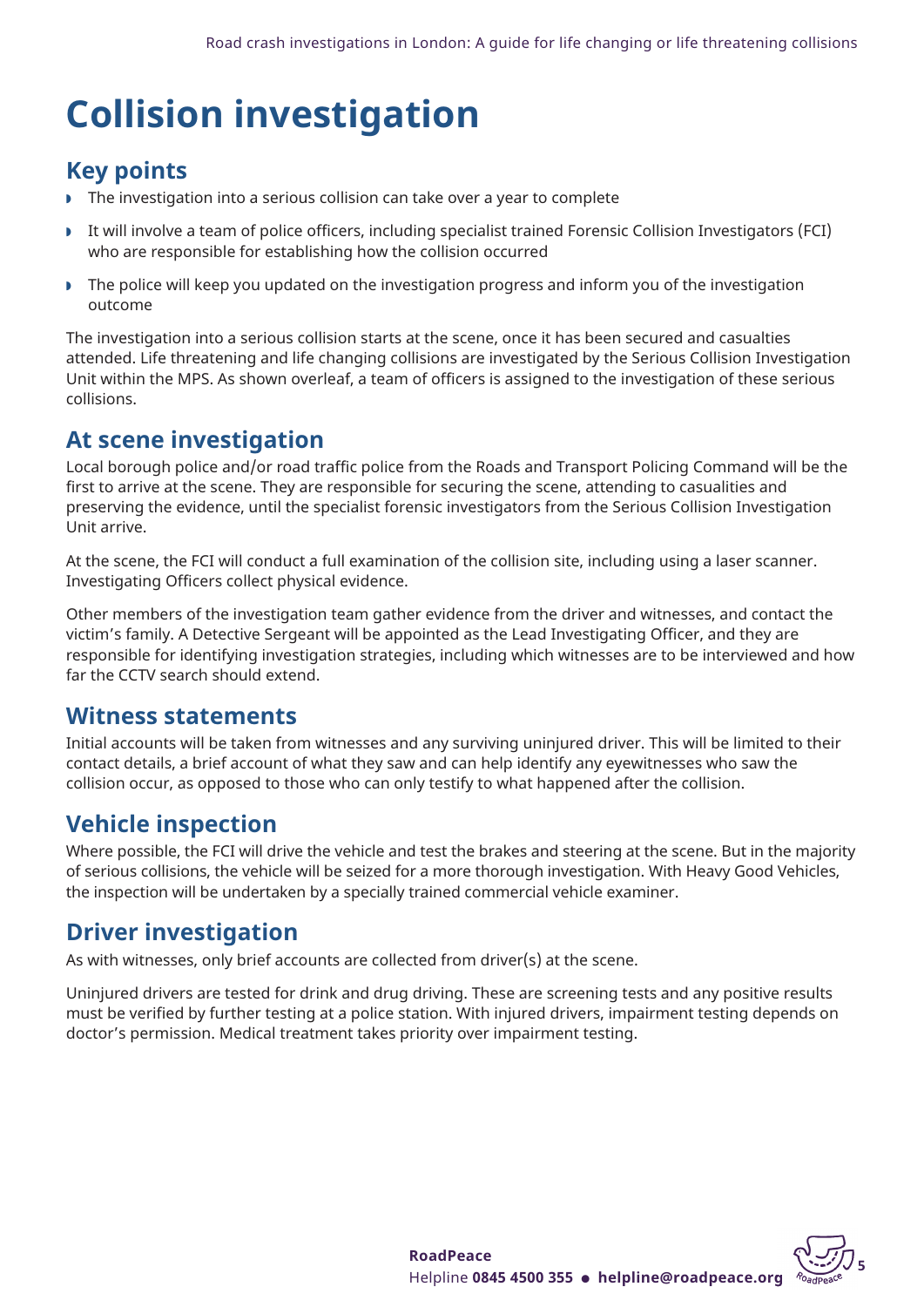## <span id="page-4-0"></span>**Collision investigation**

## **Key points**

- $\triangleright$  The investigation into a serious collision can take over a year to complete
- w It will involve a team of police officers, including specialist trained Forensic Collision Investigators (FCI) who are responsible for establishing how the collision occurred
- **F** The police will keep you updated on the investigation progress and inform you of the investigation outcome

The investigation into a serious collision starts at the scene, once it has been secured and casualties attended. Life threatening and life changing collisions are investigated by the Serious Collision Investigation Unit within the MPS. As shown overleaf, a team of officers is assigned to the investigation of these serious collisions.

## **At scene investigation**

Local borough police and/or road traffic police from the Roads and Transport Policing Command will be the first to arrive at the scene. They are responsible for securing the scene, attending to casualities and preserving the evidence, until the specialist forensic investigators from the Serious Collision Investigation Unit arrive.

At the scene, the FCI will conduct a full examination of the collision site, including using a laser scanner. Investigating Officers collect physical evidence.

Other members of the investigation team gather evidence from the driver and witnesses, and contact the victim's family. A Detective Sergeant will be appointed as the Lead Investigating Officer, and they are responsible for identifying investigation strategies, including which witnesses are to be interviewed and how far the CCTV search should extend.

## **Witness statements**

Initial accounts will be taken from witnesses and any surviving uninjured driver. This will be limited to their contact details, a brief account of what they saw and can help identify any eyewitnesses who saw the collision occur, as opposed to those who can only testify to what happened after the collision.

## **Vehicle inspection**

Where possible, the FCI will drive the vehicle and test the brakes and steering at the scene. But in the majority of serious collisions, the vehicle will be seized for a more thorough investigation. With Heavy Good Vehicles, the inspection will be undertaken by a specially trained commercial vehicle examiner.

## **Driver investigation**

As with witnesses, only brief accounts are collected from driver(s) at the scene.

Uninjured drivers are tested for drink and drug driving. These are screening tests and any positive results must be verified by further testing at a police station. With injured drivers, impairment testing depends on doctor's permission. Medical treatment takes priority over impairment testing.

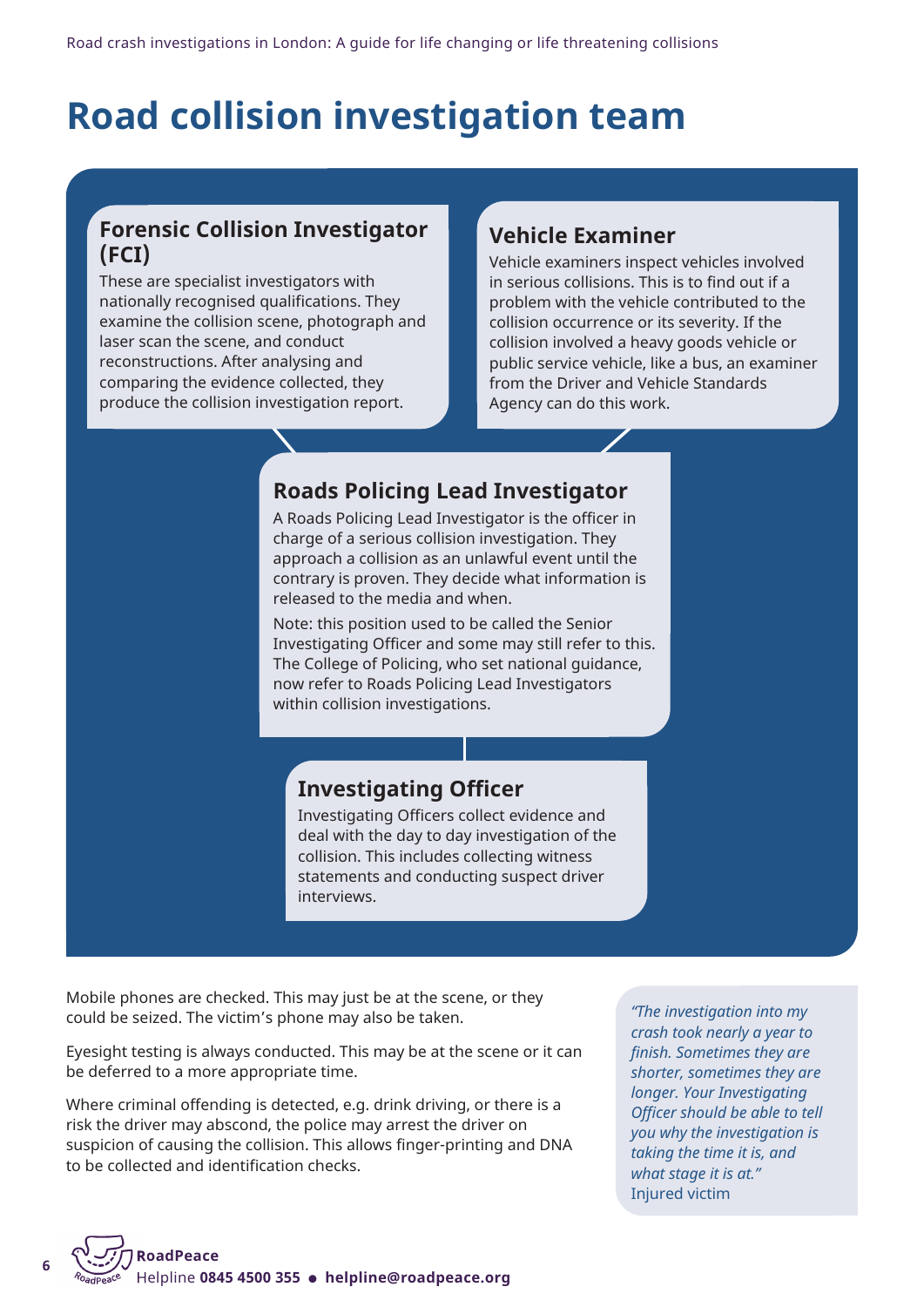## <span id="page-5-0"></span>**Road collision investigation team**

## **Forensic Collision Investigator (FCI)**

These are specialist investigators with nationally recognised qualifications. They examine the collision scene, photograph and laser scan the scene, and conduct reconstructions. After analysing and comparing the evidence collected, they produce the collision investigation report.

## **Vehicle Examiner**

Vehicle examiners inspect vehicles involved in serious collisions. This is to find out if a problem with the vehicle contributed to the collision occurrence or its severity. If the collision involved a heavy goods vehicle or public service vehicle, like a bus, an examiner from the Driver and Vehicle Standards Agency can do this work.

## **Roads Policing Lead Investigator**

A Roads Policing Lead Investigator is the officer in charge of a serious collision investigation. They approach a collision as an unlawful event until the contrary is proven. They decide what information is released to the media and when.

Note: this position used to be called the Senior Investigating Officer and some may still refer to this. The College of Policing, who set national guidance, now refer to Roads Policing Lead Investigators within collision investigations.

## **Investigating Officer**

Investigating Officers collect evidence and deal with the day to day investigation of the collision. This includes collecting witness statements and conducting suspect driver interviews.

Mobile phones are checked. This may just be at the scene, or they could be seized. The victim's phone may also be taken.

Eyesight testing is always conducted. This may be at the scene or it can be deferred to a more appropriate time.

Where criminal offending is detected, e.g. drink driving, or there is a risk the driver may abscond, the police may arrest the driver on suspicion of causing the collision. This allows finger-printing and DNA to be collected and identification checks.

*"The investigation into my crash took nearly a year to finish. Sometimes they are shorter, sometimes they are longer. Your Investigating Officer should be able to tell you why the investigation is taking the time it is, and what stage it is at."* Injured victim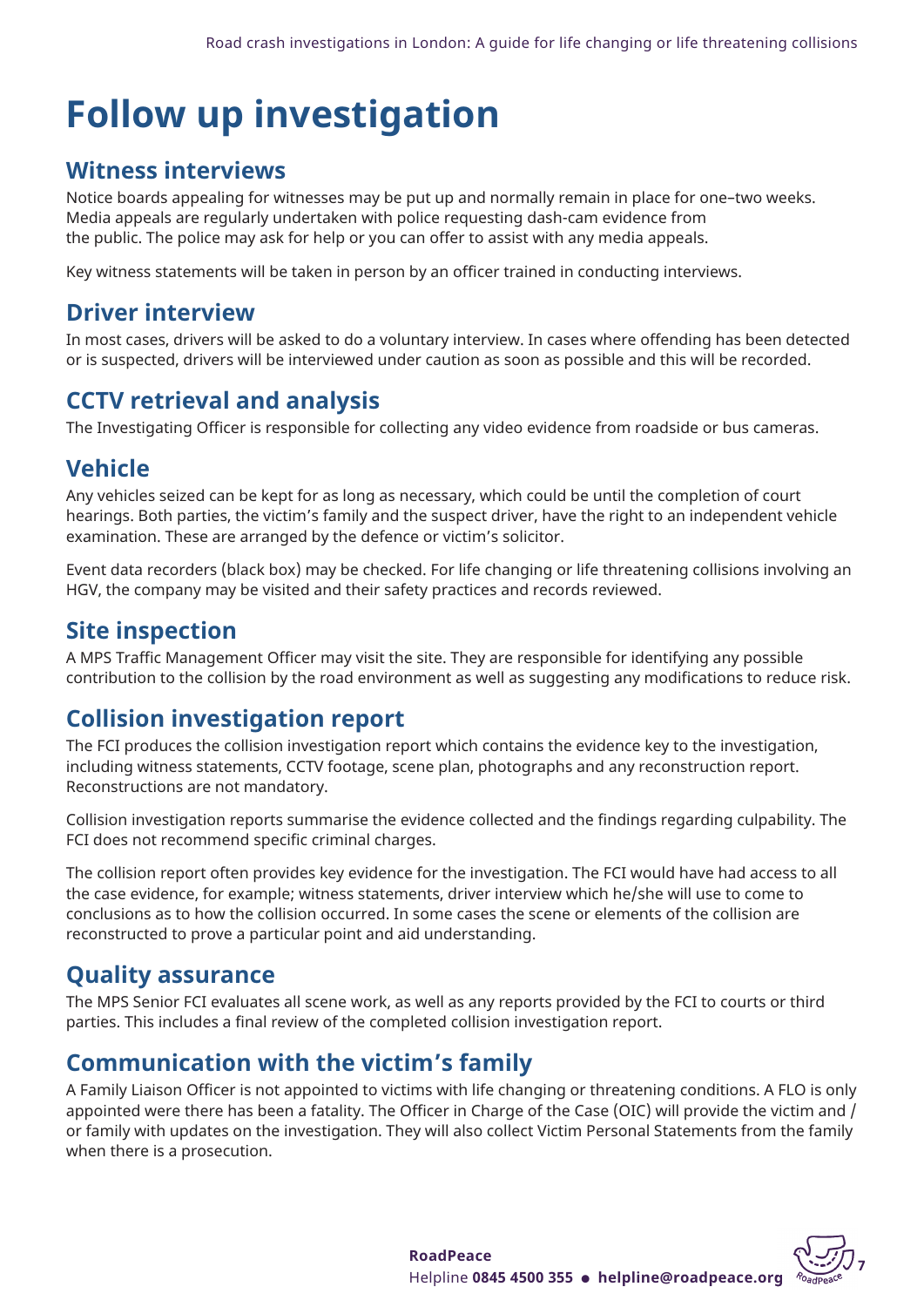## <span id="page-6-0"></span>**Follow up investigation**

## **Witness interviews**

Notice boards appealing for witnesses may be put up and normally remain in place for one–two weeks. Media appeals are regularly undertaken with police requesting dash-cam evidence from the public. The police may ask for help or you can offer to assist with any media appeals.

Key witness statements will be taken in person by an officer trained in conducting interviews.

## **Driver interview**

In most cases, drivers will be asked to do a voluntary interview. In cases where offending has been detected or is suspected, drivers will be interviewed under caution as soon as possible and this will be recorded.

## **CCTV retrieval and analysis**

The Investigating Officer is responsible for collecting any video evidence from roadside or bus cameras.

## **Vehicle**

Any vehicles seized can be kept for as long as necessary, which could be until the completion of court hearings. Both parties, the victim's family and the suspect driver, have the right to an independent vehicle examination. These are arranged by the defence or victim's solicitor.

Event data recorders (black box) may be checked. For life changing or life threatening collisions involving an HGV, the company may be visited and their safety practices and records reviewed.

## **Site inspection**

A MPS Traffic Management Officer may visit the site. They are responsible for identifying any possible contribution to the collision by the road environment as well as suggesting any modifications to reduce risk.

## **Collision investigation report**

The FCI produces the collision investigation report which contains the evidence key to the investigation, including witness statements, CCTV footage, scene plan, photographs and any reconstruction report. Reconstructions are not mandatory.

Collision investigation reports summarise the evidence collected and the findings regarding culpability. The FCI does not recommend specific criminal charges.

The collision report often provides key evidence for the investigation. The FCI would have had access to all the case evidence, for example; witness statements, driver interview which he/she will use to come to conclusions as to how the collision occurred. In some cases the scene or elements of the collision are reconstructed to prove a particular point and aid understanding.

## **Quality assurance**

The MPS Senior FCI evaluates all scene work, as well as any reports provided by the FCI to courts or third parties. This includes a final review of the completed collision investigation report.

## **Communication with the victim's family**

A Family Liaison Officer is not appointed to victims with life changing or threatening conditions. A FLO is only appointed were there has been a fatality. The Officer in Charge of the Case (OIC) will provide the victim and / or family with updates on the investigation. They will also collect Victim Personal Statements from the family when there is a prosecution.



**<sup>7</sup> RoadPeace** Helpline **0845 4500 355** l **helpline@roadpeace.org**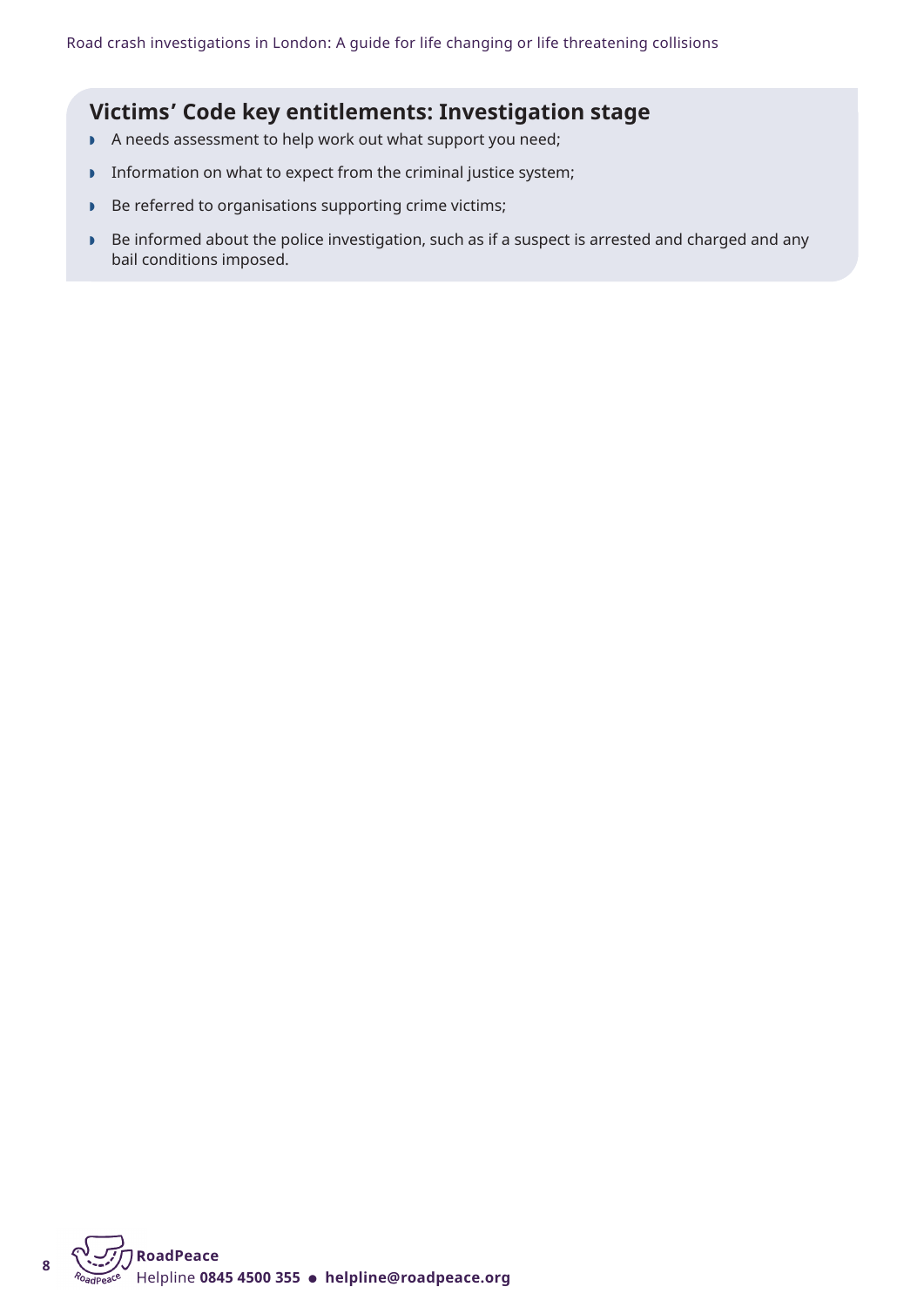### **Victims' Code key entitlements: Investigation stage**

- A needs assessment to help work out what support you need;
- **DED Information on what to expect from the criminal justice system;**
- **Be referred to organisations supporting crime victims;**
- ▶ Be informed about the police investigation, such as if a suspect is arrested and charged and any bail conditions imposed.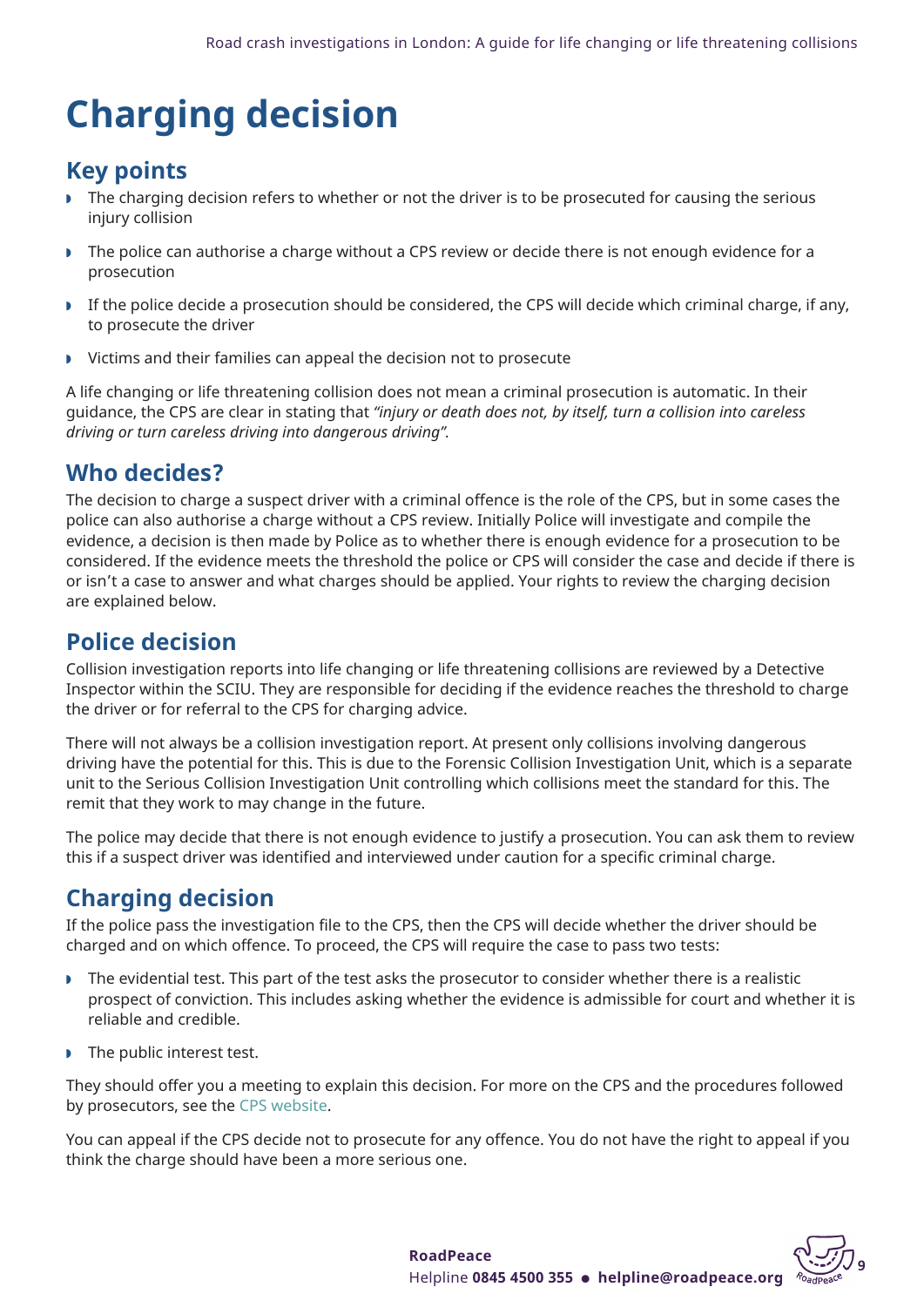## <span id="page-8-0"></span>**Charging decision**

## **Key points**

- **F** The charging decision refers to whether or not the driver is to be prosecuted for causing the serious injury collision
- w The police can authorise a charge without a CPS review or decide there is not enough evidence for a prosecution
- w If the police decide a prosecution should be considered, the CPS will decide which criminal charge, if any, to prosecute the driver
- $\triangleright$  Victims and their families can appeal the decision not to prosecute

A life changing or life threatening collision does not mean a criminal prosecution is automatic. In their guidance, the CPS are clear in stating that *"injury or death does not, by itself, turn a collision into careless driving or turn careless driving into dangerous driving".*

## **Who decides?**

The decision to charge a suspect driver with a criminal offence is the role of the CPS, but in some cases the police can also authorise a charge without a CPS review. Initially Police will investigate and compile the evidence, a decision is then made by Police as to whether there is enough evidence for a prosecution to be considered. If the evidence meets the threshold the police or CPS will consider the case and decide if there is or isn't a case to answer and what charges should be applied. Your rights to review the charging decision are explained below.

## **Police decision**

Collision investigation reports into life changing or life threatening collisions are reviewed by a Detective Inspector within the SCIU. They are responsible for deciding if the evidence reaches the threshold to charge the driver or for referral to the CPS for charging advice.

There will not always be a collision investigation report. At present only collisions involving dangerous driving have the potential for this. This is due to the Forensic Collision Investigation Unit, which is a separate unit to the Serious Collision Investigation Unit controlling which collisions meet the standard for this. The remit that they work to may change in the future.

The police may decide that there is not enough evidence to justify a prosecution. You can ask them to review this if a suspect driver was identified and interviewed under caution for a specific criminal charge.

## **Charging decision**

If the police pass the investigation file to the CPS, then the CPS will decide whether the driver should be charged and on which offence. To proceed, the CPS will require the case to pass two tests:

- w The evidential test. This part of the test asks the prosecutor to consider whether there is a realistic prospect of conviction. This includes asking whether the evidence is admissible for court and whether it is reliable and credible.
- $\triangleright$  The public interest test.

They should offer you a meeting to explain this decision. For more on the CPS and the procedures followed by prosecutors, see the CPS [website.](https://www.cps.gov.uk/publication/code-crown-prosecutors)

You can appeal if the CPS decide not to prosecute for any offence. You do not have the right to appeal if you think the charge should have been a more serious one.



**<sup>9</sup> RoadPeace** Helpline **0845 4500 355** l **helpline@roadpeace.org**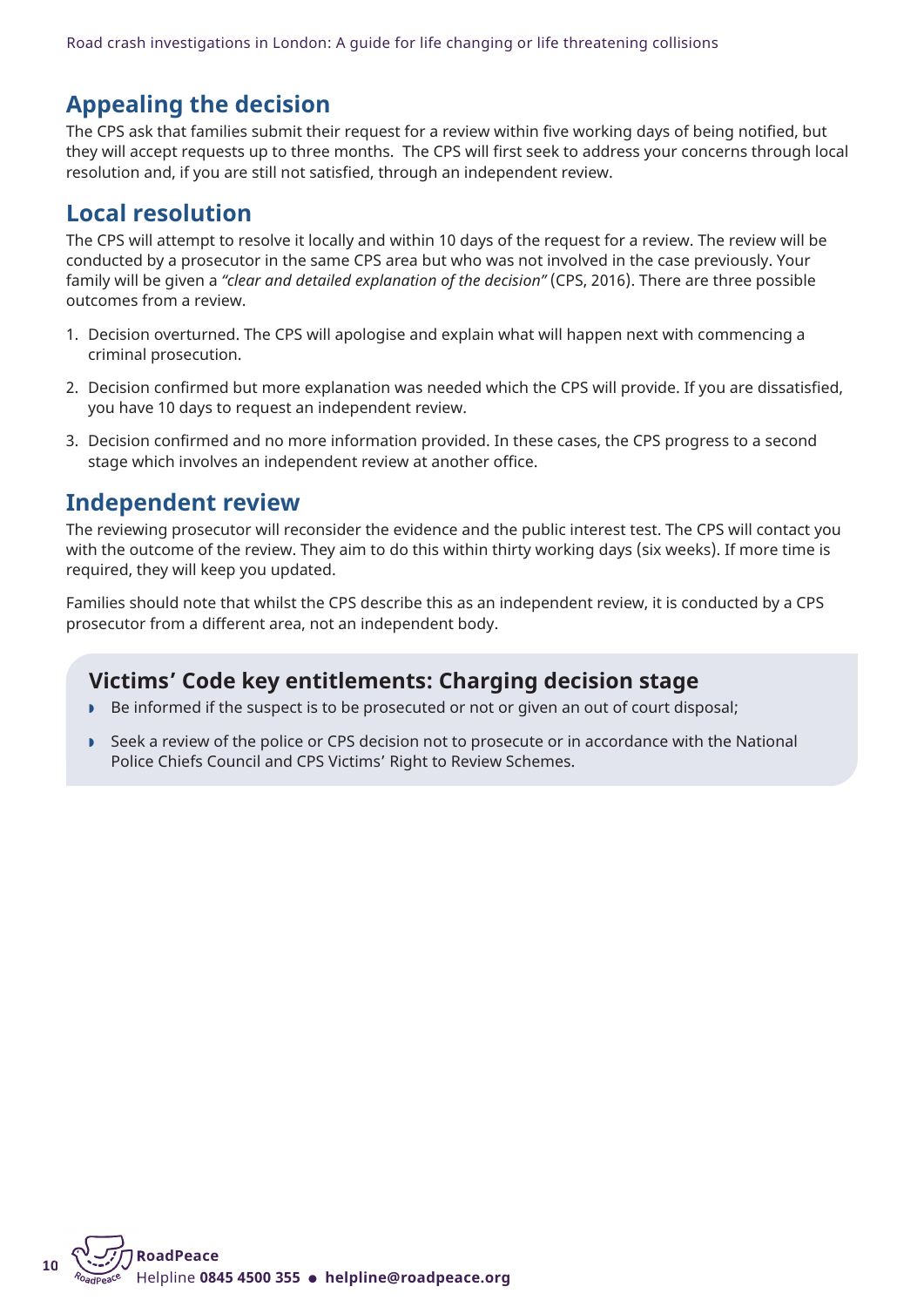## **Appealing the decision**

The CPS ask that families submit their request for a review within five working days of being notified, but they will accept requests up to three months. The CPS will first seek to address your concerns through local resolution and, if you are still not satisfied, through an independent review.

## **Local resolution**

The CPS will attempt to resolve it locally and within 10 days of the request for a review. The review will be conducted by a prosecutor in the same CPS area but who was not involved in the case previously. Your family will be given a *"clear and detailed explanation of the decision"* (CPS, 2016). There are three possible outcomes from a review.

- 1. Decision overturned. The CPS will apologise and explain what will happen next with commencing a criminal prosecution.
- 2. Decision confirmed but more explanation was needed which the CPS will provide. If you are dissatisfied, you have 10 days to request an independent review.
- 3. Decision confirmed and no more information provided. In these cases, the CPS progress to a second stage which involves an independent review at another office.

## **Independent review**

The reviewing prosecutor will reconsider the evidence and the public interest test. The CPS will contact you with the outcome of the review. They aim to do this within thirty working days (six weeks). If more time is required, they will keep you updated.

Families should note that whilst the CPS describe this as an independent review, it is conducted by a CPS prosecutor from a different area, not an independent body.

## **Victims' Code key entitlements: Charging decision stage**

- Be informed if the suspect is to be prosecuted or not or given an out of court disposal;
- w Seek a review of the police or CPS decision not to prosecute or in accordance with the National Police Chiefs Council and CPS Victims' Right to Review Schemes.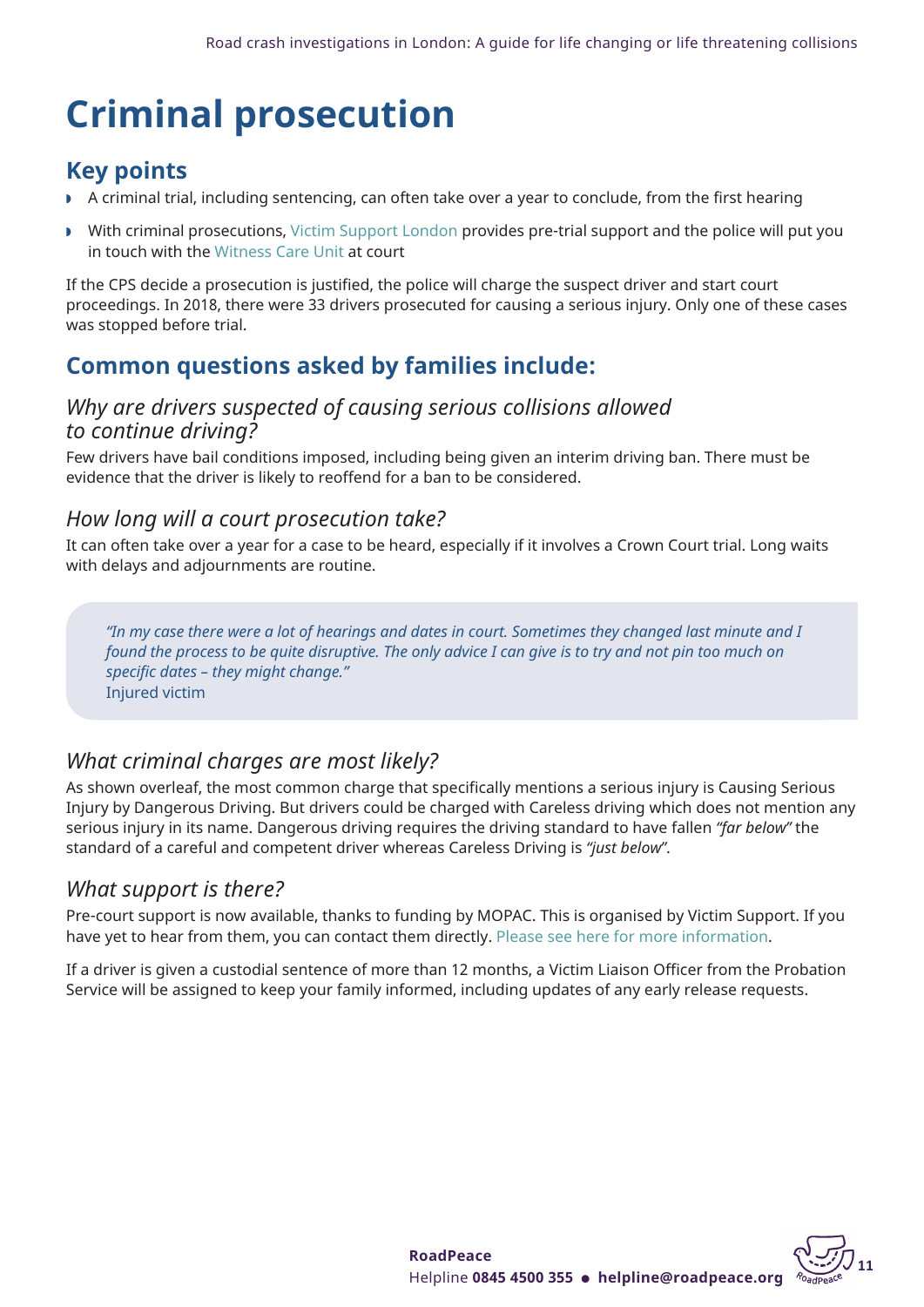## <span id="page-10-0"></span>**Criminal prosecution**

## **Key points**

- $\triangleright$  A criminal trial, including sentencing, can often take over a year to conclude, from the first hearing
- With criminal prosecutions, Victim [Support](https://www.victimsupport.org.uk/help-and-support/get-help/support-near-you/england/) London provides pre-trial support and the police will put you in touch with the [Witness](https://www.met.police.uk/advice/advice-and-information/wvs/victim-and-witness-support/) Care Unit at court

If the CPS decide a prosecution is justified, the police will charge the suspect driver and start court proceedings. In 2018, there were 33 drivers prosecuted for causing a serious injury. Only one of these cases was stopped before trial.

## **Common questions asked by families include:**

### *Why are drivers suspected of causing serious collisions allowed to continue driving?*

Few drivers have bail conditions imposed, including being given an interim driving ban. There must be evidence that the driver is likely to reoffend for a ban to be considered.

### *How long will a court prosecution take?*

It can often take over a year for a case to be heard, especially if it involves a Crown Court trial. Long waits with delays and adjournments are routine.

"In my case there were a lot of hearings and dates in court. Sometimes they changed last minute and I found the process to be quite disruptive. The only advice I can give is to try and not pin too much on *specific dates – they might change."* Injured victim

## *What criminal charges are most likely?*

As shown overleaf, the most common charge that specifically mentions a serious injury is Causing Serious Injury by Dangerous Driving. But drivers could be charged with Careless driving which does not mention any serious injury in its name. Dangerous driving requires the driving standard to have fallen *"far below"* the standard of a careful and competent driver whereas Careless Driving is *"just below"*.

### *What support is there?*

Pre-court support is now available, thanks to funding by MOPAC. This is organised by Victim Support. If you have yet to hear from them, you can contact them directly. Please see here for more [information.](https://www.victimsupport.org.uk/help-and-support/get-help/support-near-you/england/)

If a driver is given a custodial sentence of more than 12 months, a Victim Liaison Officer from the Probation Service will be assigned to keep your family informed, including updates of any early release requests.

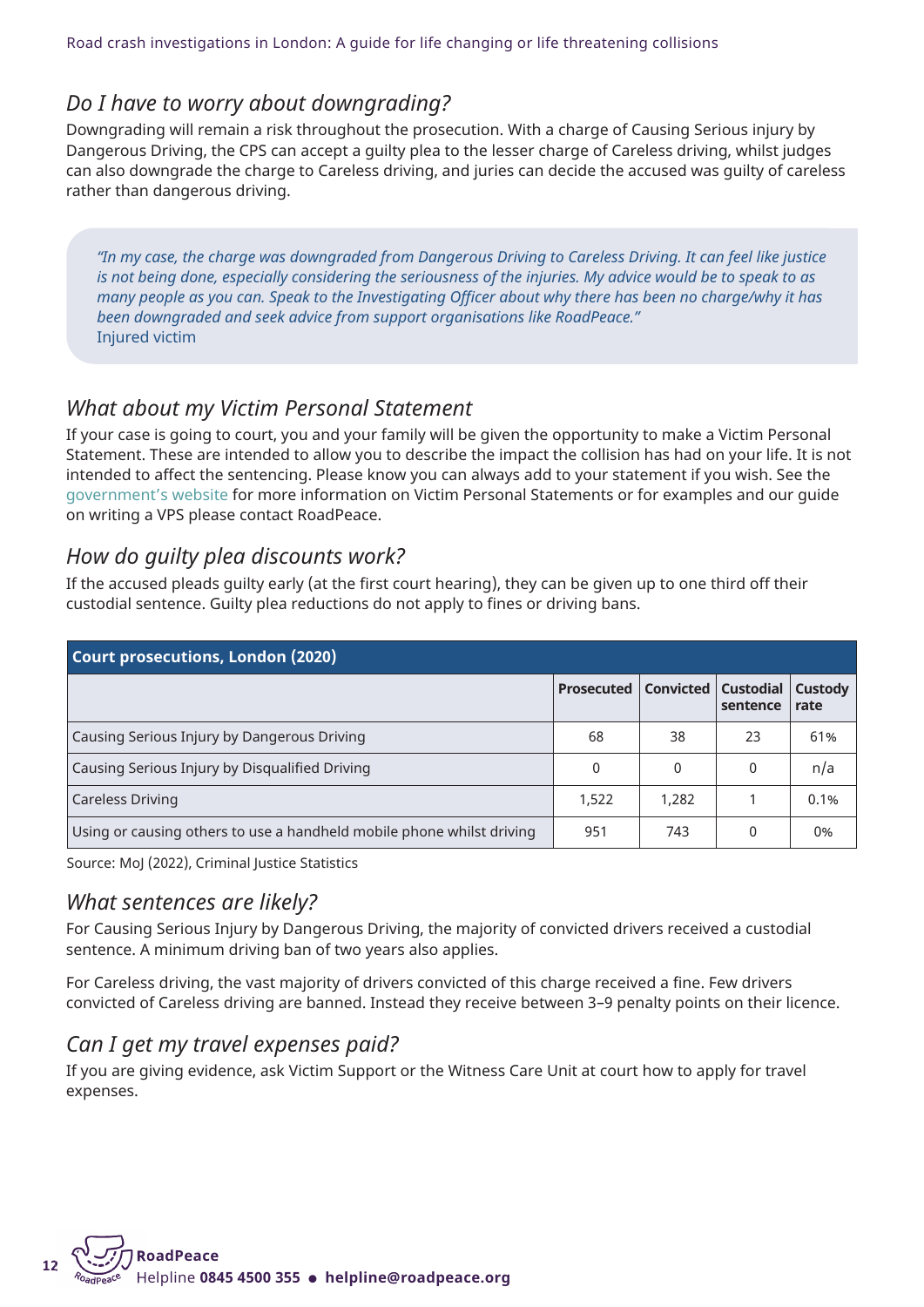### *Do I have to worry about downgrading?*

Downgrading will remain a risk throughout the prosecution. With a charge of Causing Serious injury by Dangerous Driving, the CPS can accept a guilty plea to the lesser charge of Careless driving, whilst judges can also downgrade the charge to Careless driving, and juries can decide the accused was guilty of careless rather than dangerous driving.

"In my case, the charge was downgraded from Dangerous Driving to Careless Driving. It can feel like justice is not being done, especially considering the seriousness of the injuries. My advice would be to speak to as many people as you can. Speak to the Investigating Officer about why there has been no charge/why it has *been downgraded and seek advice from support organisations like RoadPeace."* Injured victim

### *What about my Victim Personal Statement*

If your case is going to court, you and your family will be given the opportunity to make a Victim Personal Statement. These are intended to allow you to describe the impact the collision has had on your life. It is not intended to affect the sentencing. Please know you can always add to your statement if you wish. See the [government's](https://www.gov.uk/government/publications/victim-personal-statement) website for more information on Victim Personal Statements or for examples and our guide on writing a VPS please contact RoadPeace.

### *How do guilty plea discounts work?*

If the accused pleads guilty early (at the first court hearing), they can be given up to one third off their custodial sentence. Guilty plea reductions do not apply to fines or driving bans.

| Court prosecutions, London (2020)                                     |                   |           |                              |                 |
|-----------------------------------------------------------------------|-------------------|-----------|------------------------------|-----------------|
|                                                                       | <b>Prosecuted</b> | Convicted | <b>Custodial</b><br>sentence | Custody<br>rate |
| Causing Serious Injury by Dangerous Driving                           | 68                | 38        | 23                           | 61%             |
| Causing Serious Injury by Disqualified Driving                        | 0                 | 0         | $\Omega$                     | n/a             |
| Careless Driving                                                      | 1,522             | 1,282     |                              | 0.1%            |
| Using or causing others to use a handheld mobile phone whilst driving | 951               | 743       | 0                            | 0%              |

Source: MoJ (2022), Criminal Justice Statistics

### *What sentences are likely?*

For Causing Serious Injury by Dangerous Driving, the majority of convicted drivers received a custodial sentence. A minimum driving ban of two years also applies.

For Careless driving, the vast majority of drivers convicted of this charge received a fine. Few drivers convicted of Careless driving are banned. Instead they receive between 3–9 penalty points on their licence.

### *Can I get my travel expenses paid?*

If you are giving evidence, ask Victim Support or the Witness Care Unit at court how to apply for travel expenses.

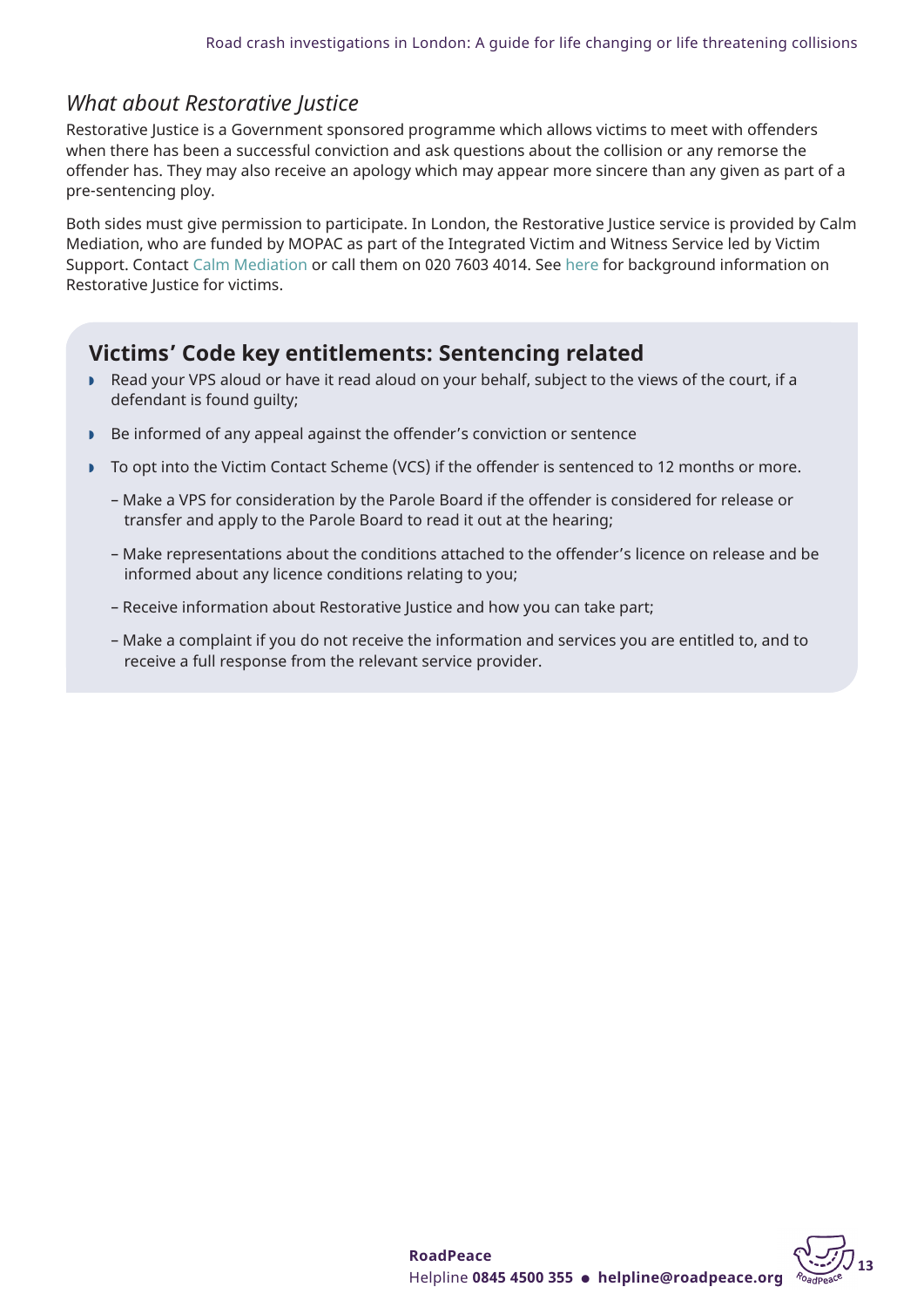## *What about Restorative Justice*

Restorative Justice is a Government sponsored programme which allows victims to meet with offenders when there has been a successful conviction and ask questions about the collision or any remorse the offender has. They may also receive an apology which may appear more sincere than any given as part of a pre-sentencing ploy.

Both sides must give permission to participate. In London, the Restorative Justice service is provided by Calm Mediation, who are funded by MOPAC as part of the Integrated Victim and Witness Service led by Victim Support. Contact Calm [Mediation](mailto:restorativejustice@calmmediation.org) or call them on 020 7603 4014. See here for background information on Restorative Justice for victims.

## **Victims' Code key entitlements: Sentencing related**

- w Read your VPS aloud or have it read aloud on your behalf, subject to the views of the court, if a defendant is found guilty;
- Be informed of any appeal against the offender's conviction or sentence
- To opt into the Victim Contact Scheme (VCS) if the offender is sentenced to 12 months or more.
	- Make a VPS for consideration by the Parole Board if the offender is considered for release or transfer and apply to the Parole Board to read it out at the hearing;
	- Make representations about the conditions attached to the offender's licence on release and be informed about any licence conditions relating to you;
	- Receive information about Restorative Justice and how you can take part;
	- Make a complaint if you do not receive the information and services you are entitled to, and to receive a full response from the relevant service provider.

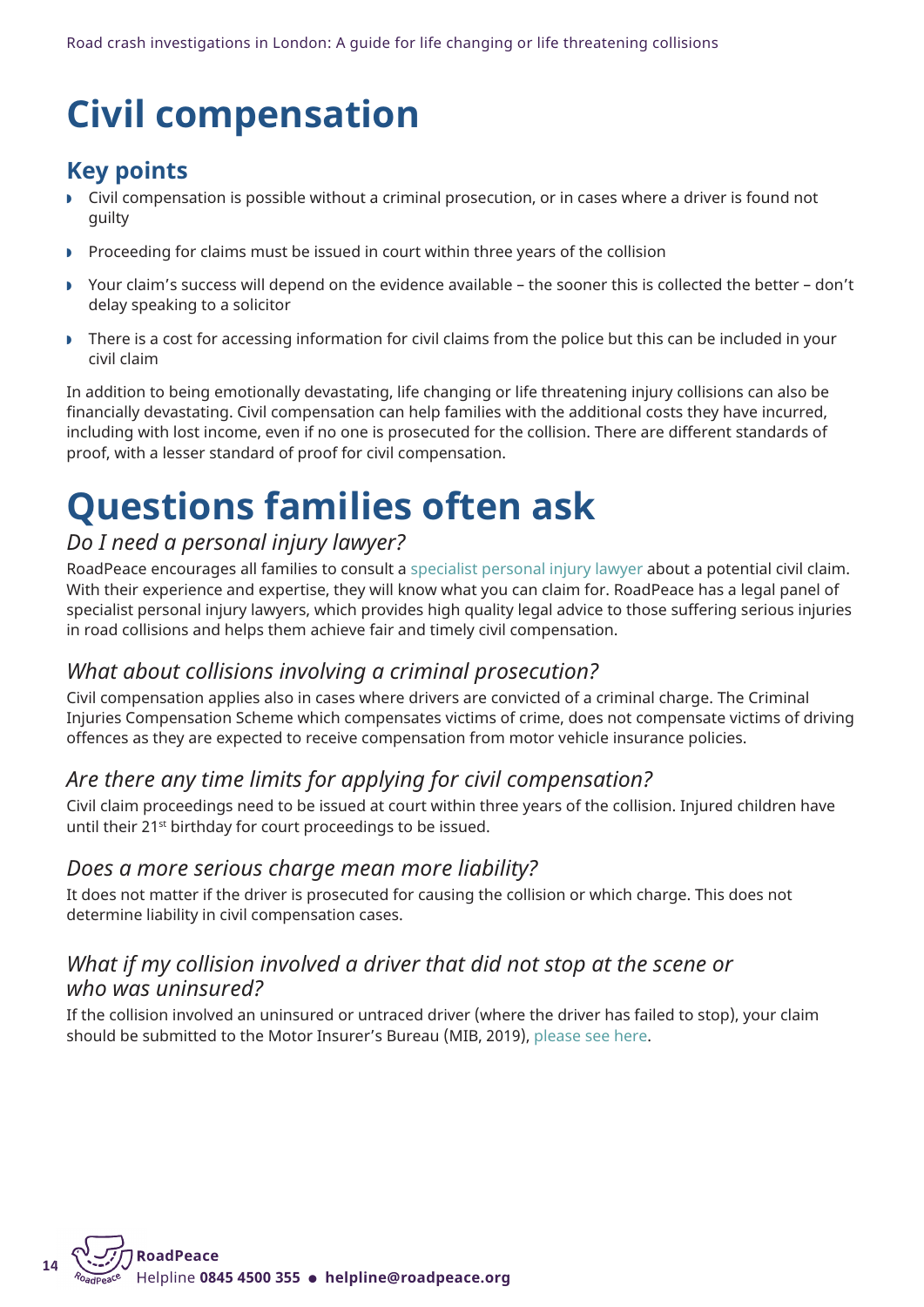## <span id="page-13-0"></span>**Civil compensation**

## **Key points**

- w Civil compensation is possible without a criminal prosecution, or in cases where a driver is found not guilty
- Proceeding for claims must be issued in court within three years of the collision
- w Your claim's success will depend on the evidence available the sooner this is collected the better don't delay speaking to a solicitor
- There is a cost for accessing information for civil claims from the police but this can be included in your civil claim

In addition to being emotionally devastating, life changing or life threatening injury collisions can also be financially devastating. Civil compensation can help families with the additional costs they have incurred, including with lost income, even if no one is prosecuted for the collision. There are different standards of proof, with a lesser standard of proof for civil compensation.

## **Questions families often ask**

## *Do I need a personal injury lawyer?*

RoadPeace encourages all families to consult a specialist personal injury lawyer about a potential civil claim. With their experience and expertise, they will know what you can claim for. RoadPeace has a legal panel of specialist personal injury lawyers, which provides high quality legal advice to those suffering serious injuries in road collisions and helps them achieve fair and timely civil compensation.

## *What about collisions involving a criminal prosecution?*

Civil compensation applies also in cases where drivers are convicted of a criminal charge. The Criminal Injuries Compensation Scheme which compensates victims of crime, does not compensate victims of driving offences as they are expected to receive compensation from motor vehicle insurance policies.

## *Are there any time limits for applying for civil compensation?*

Civil claim proceedings need to be issued at court within three years of the collision. Injured children have until their 21<sup>st</sup> birthday for court proceedings to be issued.

### *Does a more serious charge mean more liability?*

It does not matter if the driver is prosecuted for causing the collision or which charge. This does not determine liability in civil compensation cases.

### *What if my collision involved a driver that did not stop at the scene or who was uninsured?*

If the collision involved an uninsured or untraced driver (where the driver has failed to stop), your claim should be submitted to the Motor Insurer's Bureau (MIB, 2019), [please](https://www.mib.org.uk/making-a-claim/) see here.

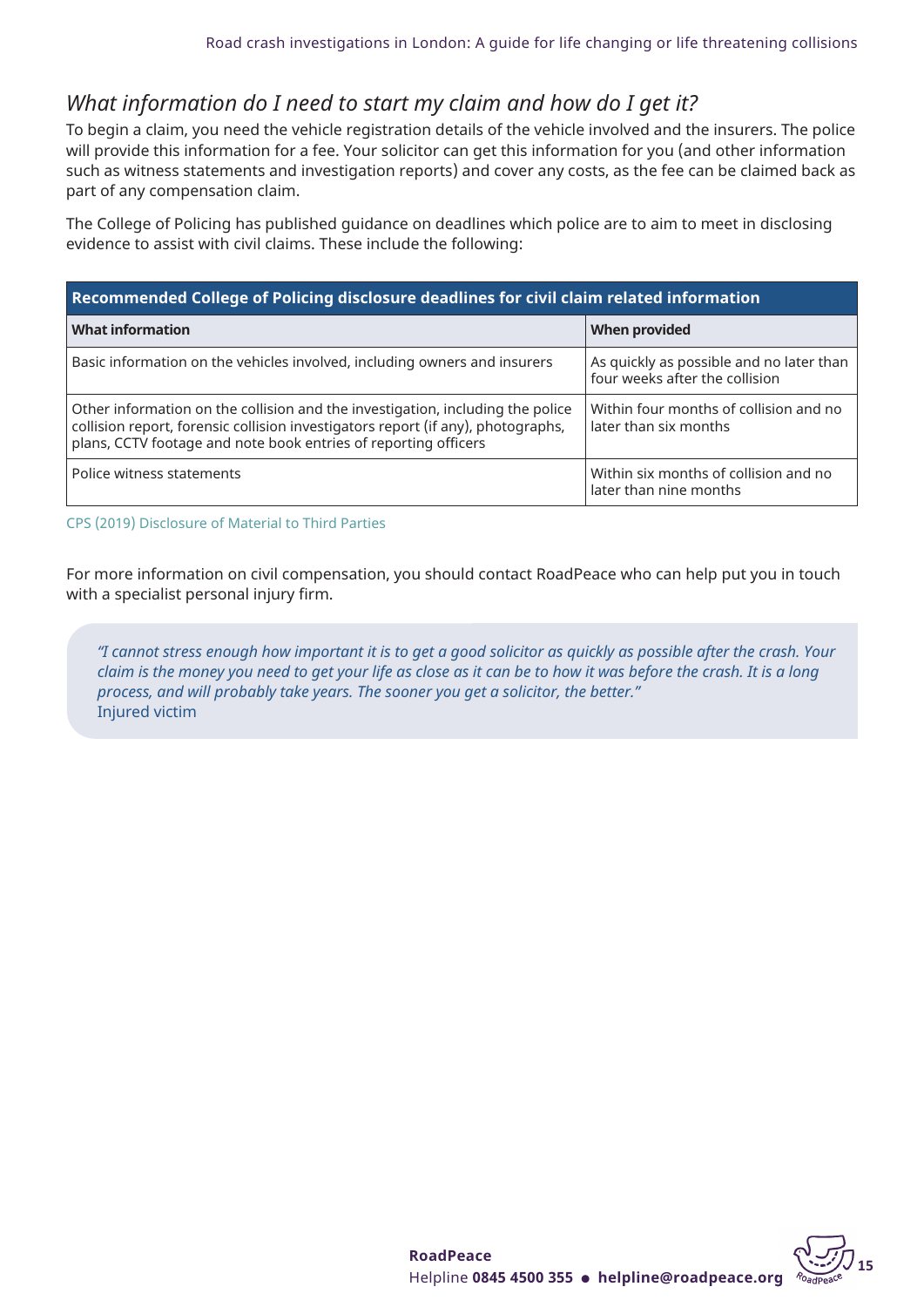## *What information do I need to start my claim and how do I get it?*

To begin a claim, you need the vehicle registration details of the vehicle involved and the insurers. The police will provide this information for a fee. Your solicitor can get this information for you (and other information such as witness statements and investigation reports) and cover any costs, as the fee can be claimed back as part of any compensation claim.

The College of Policing has published guidance on deadlines which police are to aim to meet in disclosing evidence to assist with civil claims. These include the following:

| Recommended College of Policing disclosure deadlines for civil claim related information                                                                                                                                              |                                                                            |  |  |  |
|---------------------------------------------------------------------------------------------------------------------------------------------------------------------------------------------------------------------------------------|----------------------------------------------------------------------------|--|--|--|
| <b>What information</b>                                                                                                                                                                                                               | When provided                                                              |  |  |  |
| Basic information on the vehicles involved, including owners and insurers                                                                                                                                                             | As quickly as possible and no later than<br>four weeks after the collision |  |  |  |
| Other information on the collision and the investigation, including the police<br>collision report, forensic collision investigators report (if any), photographs,<br>plans, CCTV footage and note book entries of reporting officers | Within four months of collision and no<br>later than six months            |  |  |  |
| Police witness statements                                                                                                                                                                                                             | Within six months of collision and no<br>later than nine months            |  |  |  |

#### CPS (2019) Disclosure of Material to Third Parties

For more information on civil compensation, you should contact RoadPeace who can help put you in touch with a specialist personal injury firm.

"I cannot stress enough how important it is to get a good solicitor as quickly as possible after the crash. Your claim is the money you need to get your life as close as it can be to how it was before the crash. It is a long *process, and will probably take years. The sooner you get a solicitor, the better."* Injured victim

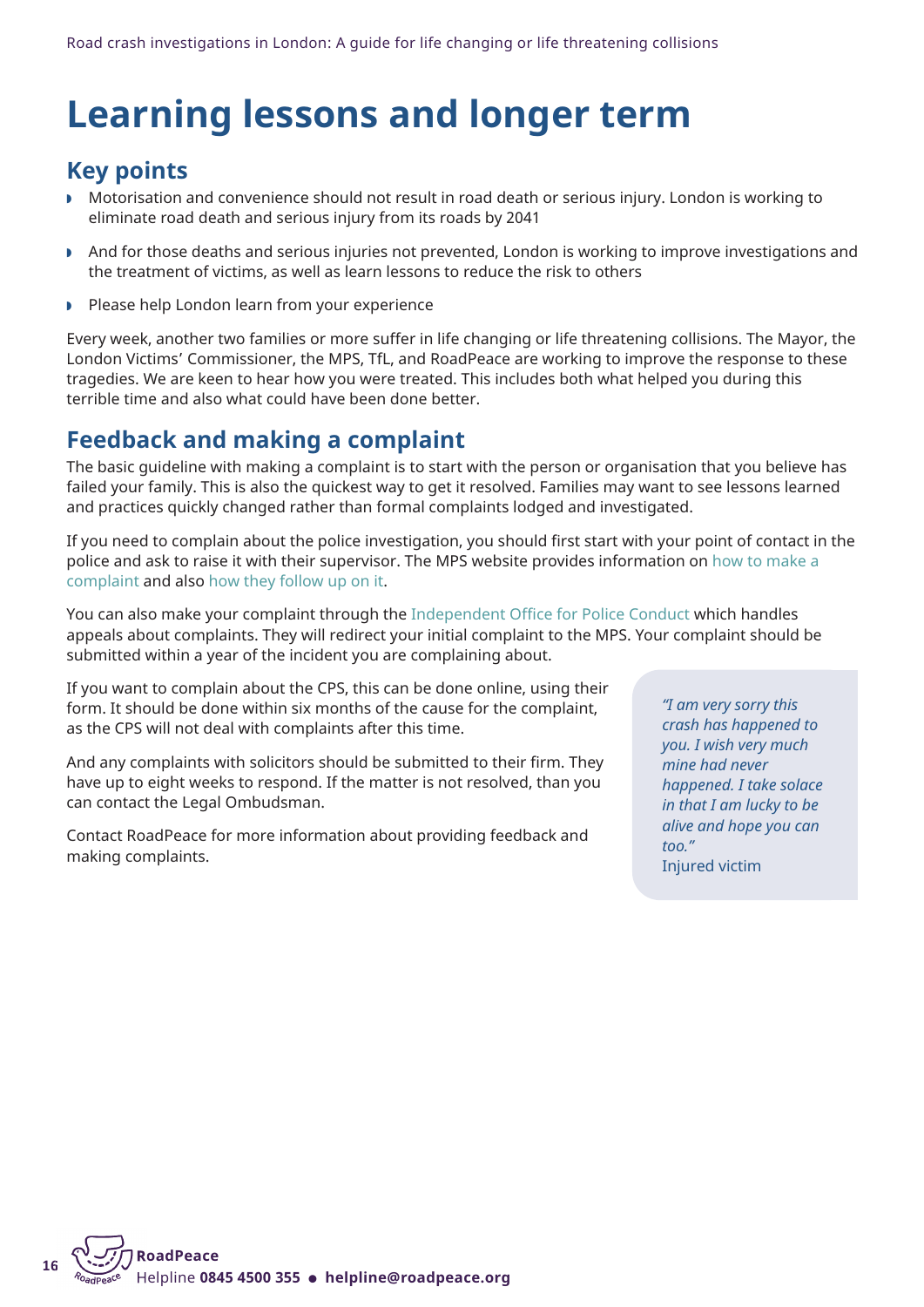## <span id="page-15-0"></span>**Learning lessons and longer term**

## **Key points**

- w Motorisation and convenience should not result in road death or serious injury. London is working to eliminate road death and serious injury from its roads by 2041
- And for those deaths and serious injuries not prevented, London is working to improve investigations and the treatment of victims, as well as learn lessons to reduce the risk to others
- **Please help London learn from your experience**

Every week, another two families or more suffer in life changing or life threatening collisions. The Mayor, the London Victims' Commissioner, the MPS, TfL, and RoadPeace are working to improve the response to these tragedies. We are keen to hear how you were treated. This includes both what helped you during this terrible time and also what could have been done better.

## **Feedback and making a complaint**

The basic guideline with making a complaint is to start with the person or organisation that you believe has failed your family. This is also the quickest way to get it resolved. Families may want to see lessons learned and practices quickly changed rather than formal complaints lodged and investigated.

If you need to complain about the police investigation, you should first start with your point of contact in the police and ask to raise it with their supervisor. The MPS website provides information on how to [make](https://www.met.police.uk/fo/feedback/tcs/complaints-triage/) a [complaint](https://www.met.police.uk/fo/feedback/tcs/complaints-triage/) and also how they [follow](https://www.met.police.uk/advice/advice-and-information/c/af/complaints/) up on it.

You can also make your complaint through the [Independent](https://www.policeconduct.gov.uk/complaints-and-appeals/make-complaint) Office for Police Conduct which handles appeals about complaints. They will redirect your initial complaint to the MPS. Your complaint should be submitted within a year of the incident you are complaining about.

If you want to complain about the CPS, this can be done online, using their form. It should be done within six months of the cause for the complaint, as the CPS will not deal with complaints after this time.

And any complaints with solicitors should be submitted to their firm. They have up to eight weeks to respond. If the matter is not resolved, than you can contact the Legal Ombudsman.

Contact RoadPeace for more information about providing feedback and making complaints.

*"I am very sorry this crash has happened to you. I wish very much mine had never happened. I take solace in that I am lucky to be alive and hope you can too."* Injured victim

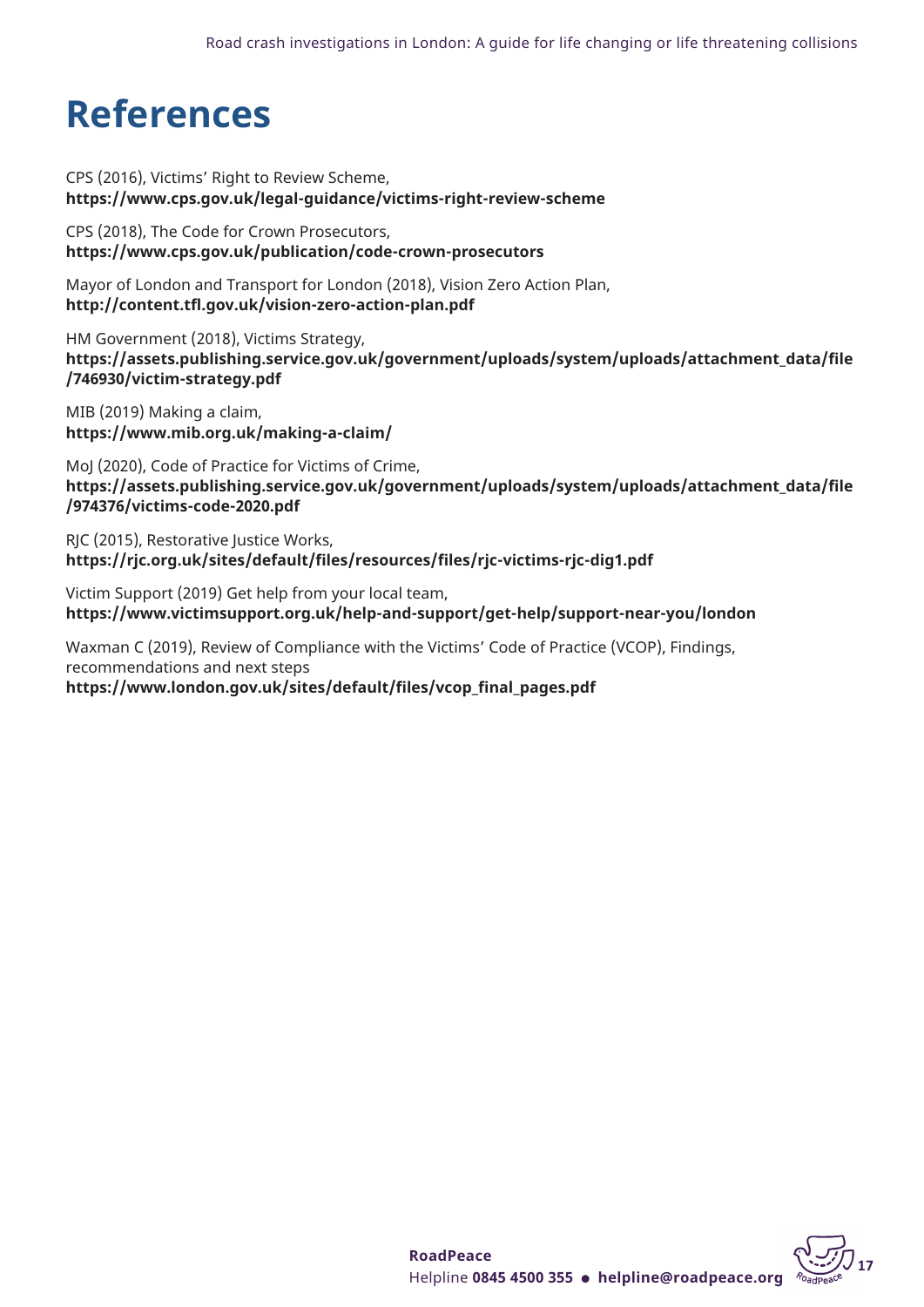## <span id="page-16-0"></span>**References**

CPS (2016), Victims' Right to Review Scheme, **<https://www.cps.gov.uk/legal-guidance/victims-right-review-scheme>**

CPS (2018), The Code for Crown Prosecutors, **<https://www.cps.gov.uk/publication/code-crown-prosecutors>**

Mayor of London and Transport for London (2018), Vision Zero Action Plan, **<http://content.tfl.gov.uk/vision-zero-action-plan.pdf>**

HM Government (2018), Victims Strategy, **[https://assets.publishing.service.gov.uk/government/uploads/system/uploads/attachment\\_data/file](https://assets.publishing.service.gov.uk/government/uploads/system/uploads/attachment_data/file/746930/victim-strategy.pdf) [/746930/victim-strategy.pdf](https://assets.publishing.service.gov.uk/government/uploads/system/uploads/attachment_data/file/746930/victim-strategy.pdf)**

MIB (2019) Making a claim, **<https://www.mib.org.uk/making-a-claim/>**

MoJ (2020), Code of Practice for Victims of Crime, **[https://assets.publishing.service.gov.uk/government/uploads/system/uploads/attachment\\_data/file](https://assets.publishing.service.gov.uk/government/uploads/system/uploads/attachment_data/file/974376/victims-code-2020.pdf) [/974376/victims-code-2020.pdf](https://assets.publishing.service.gov.uk/government/uploads/system/uploads/attachment_data/file/974376/victims-code-2020.pdf)**

RJC (2015), Restorative Justice Works, **[https://rjc.org.uk/sites/default/files/resources/files/rjc-victims-rjc-dig1.pdf](https://bit.ly/38wJjFp)**

Victim Support (2019) Get help from your local team, **<https://www.victimsupport.org.uk/help-and-support/get-help/support-near-you/london>**

Waxman C (2019), Review of Compliance with the Victims' Code of Practice (VCOP), Findings, recommendations and next steps

**[https://www.london.gov.uk/sites/default/files/vcop\\_final\\_pages.pdf](https://bit.ly/3iBJuDZ)**

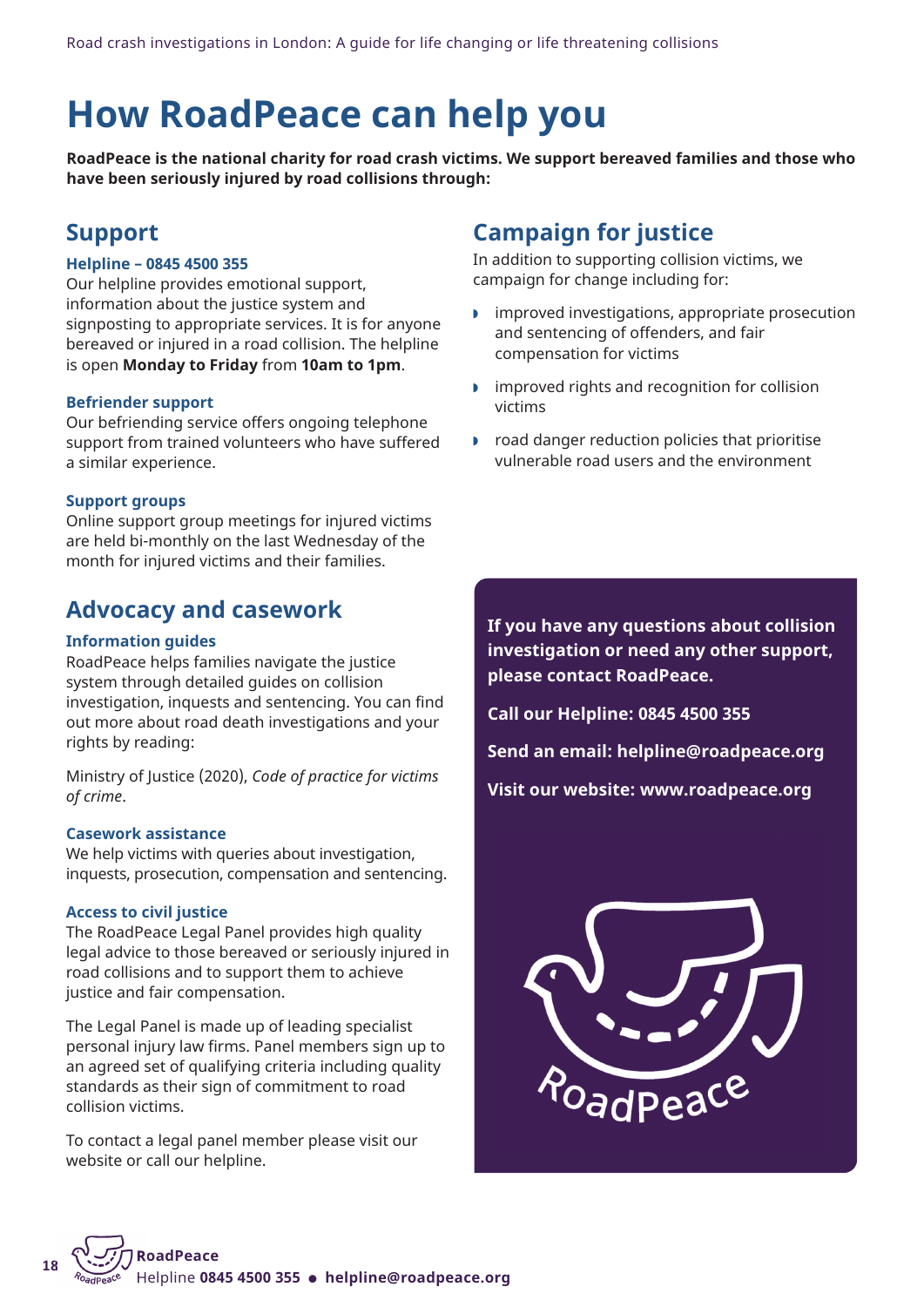## <span id="page-17-0"></span>**How RoadPeace can help you**

**RoadPeace is the national charity for road crash victims. We support bereaved families and those who have been seriously injured by road collisions through:**

## **Support**

#### **Helpline – 0845 4500 355**

Our helpline provides emotional support, information about the justice system and signposting to appropriate services. It is for anyone bereaved or injured in a road collision. The helpline is open **Monday to Friday** from **10am to 1pm**.

#### **Befriender support**

Our befriending service offers ongoing telephone support from trained volunteers who have suffered a similar experience.

#### **Support groups**

Online support group meetings for injured victims are held bi-monthly on the last Wednesday of the month for injured victims and their families.

### **Advocacy and casework**

#### **Information guides**

RoadPeace helps families navigate the justice system through detailed guides on collision investigation, inquests and sentencing. You can find out more about road death investigations and your rights by reading:

Ministry of Justice (2020), *Code of practice for victims of crime*.

#### **Casework assistance**

We help victims with queries about investigation, inquests, prosecution, compensation and sentencing.

#### **Access to civil justice**

**18**

The RoadPeace Legal Panel provides high quality legal advice to those bereaved or seriously injured in road collisions and to support them to achieve justice and fair compensation.

The Legal Panel is made up of leading specialist personal injury law firms. Panel members sign up to an agreed set of qualifying criteria including quality standards as their sign of commitment to road collision victims.

To contact a legal panel member please visit our website or call our helpline.

## **Campaign for justice**

In addition to supporting collision victims, we campaign for change including for:

- $\blacksquare$  improved investigations, appropriate prosecution and sentencing of offenders, and fair compensation for victims
- $\triangleright$  improved rights and recognition for collision victims
- $\triangleright$  road danger reduction policies that prioritise vulnerable road users and the environment

**If you have any questions about collision investigation or need any other support, please contact RoadPeace.**

**Call our Helpline: 0845 4500 355**

**Send an email: [helpline@roadpeace.org](mailto:helpline@roadpeace.org)**

**Visit our website: [www.roadpeace.org](https://www.roadpeace.org/)**

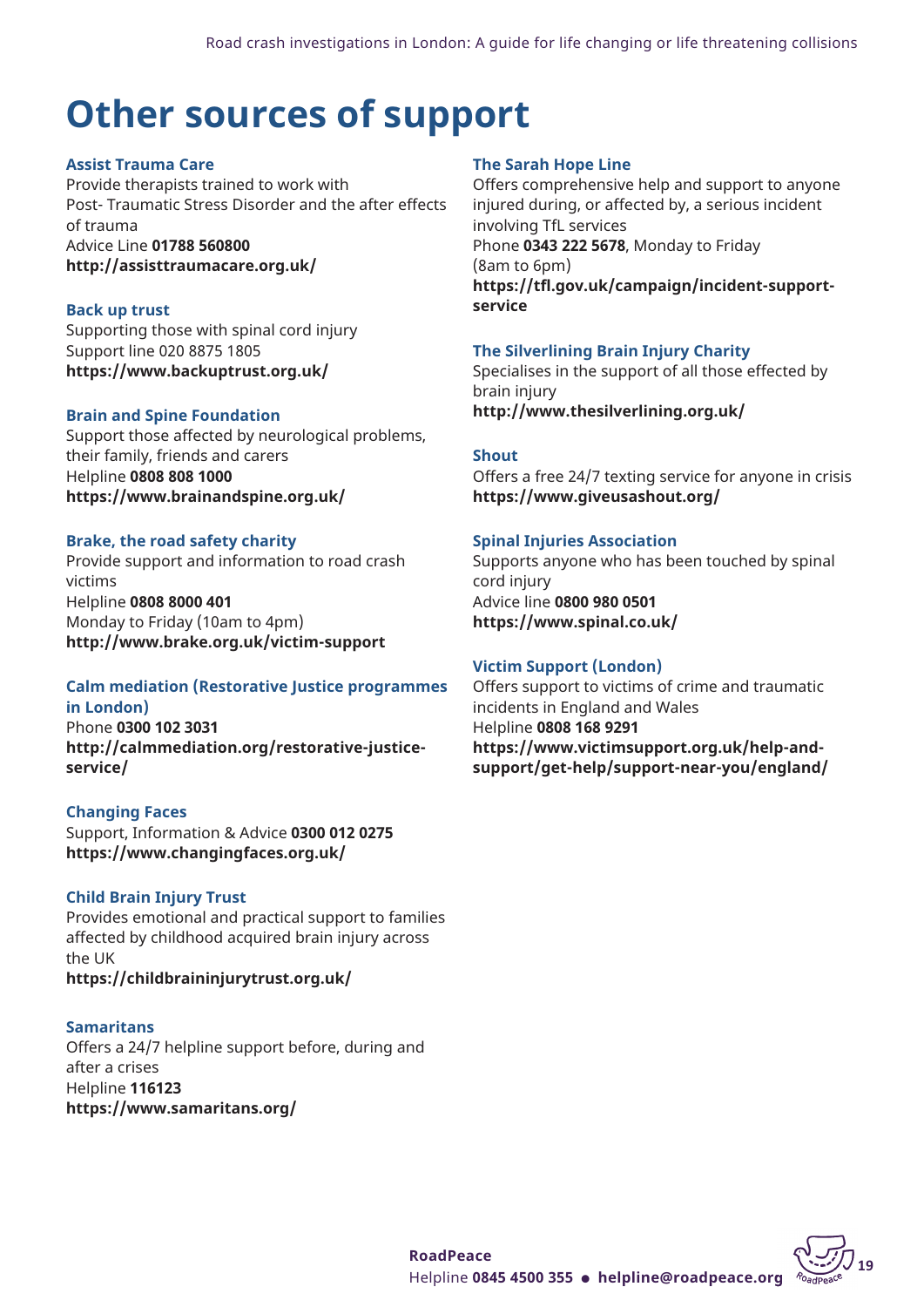## <span id="page-18-0"></span>**Other sources of support**

#### **Assist Trauma Care**

Provide therapists trained to work with Post- Traumatic Stress Disorder and the after effects of trauma Advice Line **01788 560800 <http://assisttraumacare.org.uk/>**

**Back up trust** Supporting those with spinal cord injury Support line 020 8875 1805 **<https://www.backuptrust.org.uk/>**

#### **Brain and Spine Foundation**

Support those affected by neurological problems, their family, friends and carers Helpline **0808 808 1000 <https://www.brainandspine.org.uk/>**

#### **Brake, the road safety charity**

Provide support and information to road crash victims Helpline **0808 8000 401** Monday to Friday (10am to 4pm) **<http://www.brake.org.uk/victim-support>**

#### **Calm mediation (Restorative Justice programmes in London)**

Phone **0300 102 3031 [http://calmmediation.org/restorative-justice](http://calmmediation.org/restorative-justice-service/)[service/](http://calmmediation.org/restorative-justice-service/)**

#### **Changing Faces**

Support, Information & Advice **0300 012 0275 <https://www.changingfaces.org.uk/>**

#### **Child Brain Injury Trust**

Provides emotional and practical support to families affected by childhood acquired brain injury across the UK **<https://childbraininjurytrust.org.uk/>**

#### **Samaritans**

Offers a 24/7 helpline support before, during and after a crises Helpline **116123 <https://www.samaritans.org/>**

#### **The Sarah Hope Line**

Offers comprehensive help and support to anyone injured during, or affected by, a serious incident involving TfL services Phone **0343 222 5678**, Monday to Friday (8am to 6pm) **[https://tfl.gov.uk/campaign/incident-support](https://tfl.gov.uk/campaign/incident-support-service)[service](https://tfl.gov.uk/campaign/incident-support-service)**

#### **The Silverlining Brain Injury Charity**

Specialises in the support of all those effected by brain injury **[http://www.thesilverlining.org.uk/](https://www.thesilverlining.org.uk/)**

#### **Shout**

Offers a free 24/7 texting service for anyone in crisis **<https://www.giveusashout.org/>**

#### **Spinal Injuries Association**

Supports anyone who has been touched by spinal cord injury Advice line **0800 980 0501 <https://www.spinal.co.uk/>**

#### **Victim Support (London)**

Offers support to victims of crime and traumatic incidents in England and Wales Helpline **0808 168 9291 [https://www.victimsupport.org.uk/help-and](https://www.victimsupport.org.uk/help-and-support/get-help/support-near-you/england/)[support/get-help/support-near-you/england/](https://www.victimsupport.org.uk/help-and-support/get-help/support-near-you/england/)**